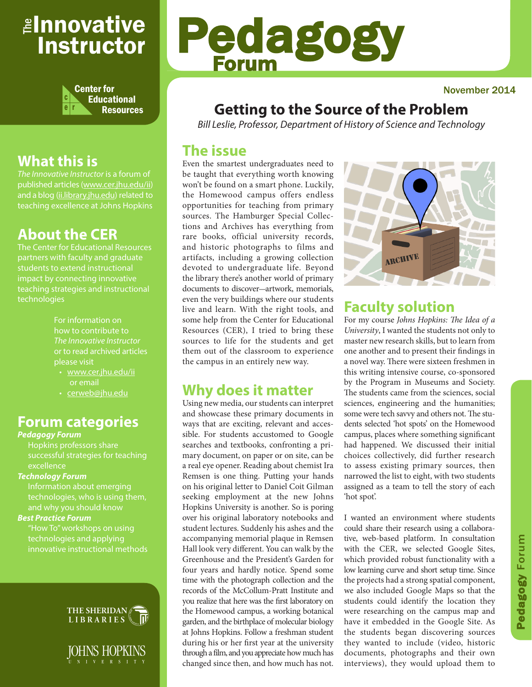## <sub>≝l</sub>nnovative Instructor



## **What this is**

*The Innovative Instructor* is a forum of published articles (www.cer.jhu.edu/ii) and a blog (ii.library.jhu.edu) related to teaching excellence at Johns Hopkins

## **About the CER**

The Center for Educational Resources students to extend instructional impact by connecting innovative teaching strategies and instructional technologies

> For information on how to contribute to *The Innovative Instructor* or to read archived articles

- www.cer.jhu.edu/ii or email
- cerweb@jhu.edu

## **Forum categories**

#### *Pedagogy Forum*

Hopkins professors share successful strategies for teaching excellence

#### *Technology Forum*

Information about emerging technologies, who is using them,

#### *Best Practice Forum*

"How To" workshops on using technologies and applying innovative instructional methods



IOHNS HOPKINS N I V E R S I T Y

# Pedagogy Forum

#### November 2014

## **Getting to the Source of the Problem**

*Bill Leslie, Professor, Department of History of Science and Technology*

## **The issue**

Even the smartest undergraduates need to be taught that everything worth knowing won't be found on a smart phone. Luckily, the Homewood campus offers endless opportunities for teaching from primary sources. The Hamburger Special Collections and Archives has everything from rare books, official university records, and historic photographs to films and artifacts, including a growing collection devoted to undergraduate life. Beyond the library there's another world of primary documents to discover-artwork, memorials, even the very buildings where our students live and learn. With the right tools, and some help from the Center for Educational Resources (CER), I tried to bring these sources to life for the students and get them out of the classroom to experience the campus in an entirely new way.

## **Why does it matter**

Using new media, our students can interpret and showcase these primary documents in ways that are exciting, relevant and accessible. For students accustomed to Google searches and textbooks, confronting a primary document, on paper or on site, can be a real eye opener. Reading about chemist Ira Remsen is one thing. Putting your hands on his original letter to Daniel Coit Gilman seeking employment at the new Johns Hopkins University is another. So is poring over his original laboratory notebooks and student lectures. Suddenly his ashes and the accompanying memorial plaque in Remsen Hall look very different. You can walk by the Greenhouse and the President's Garden for four years and hardly notice. Spend some time with the photograph collection and the records of the McCollum-Pratt Institute and you realize that here was the first laboratory on the Homewood campus, a working botanical garden, and the birthplace of molecular biology at Johns Hopkins. Follow a freshman student during his or her first year at the university through a film, and you appreciate how much has changed since then, and how much has not.



## **Faculty solution**

For my course *Johns Hopkins: The Idea of a University*, I wanted the students not only to master new research skills, but to learn from one another and to present their findings in a novel way. There were sixteen freshmen in this writing intensive course, co-sponsored by the Program in Museums and Society. The students came from the sciences, social sciences, engineering and the humanities; some were tech savvy and others not. The students selected 'hot spots' on the Homewood campus, places where something significant had happened. We discussed their initial choices collectively, did further research to assess existing primary sources, then narrowed the list to eight, with two students assigned as a team to tell the story of each 'hot spot'.

I wanted an environment where students could share their research using a collaborative, web-based platform. In consultation with the CER, we selected Google Sites, which provided robust functionality with a low learning curve and short setup time. Since the projects had a strong spatial component, we also included Google Maps so that the students could identify the location they were researching on the campus map and have it embedded in the Google Site. As the students began discovering sources they wanted to include (video, historic documents, photographs and their own interviews), they would upload them to